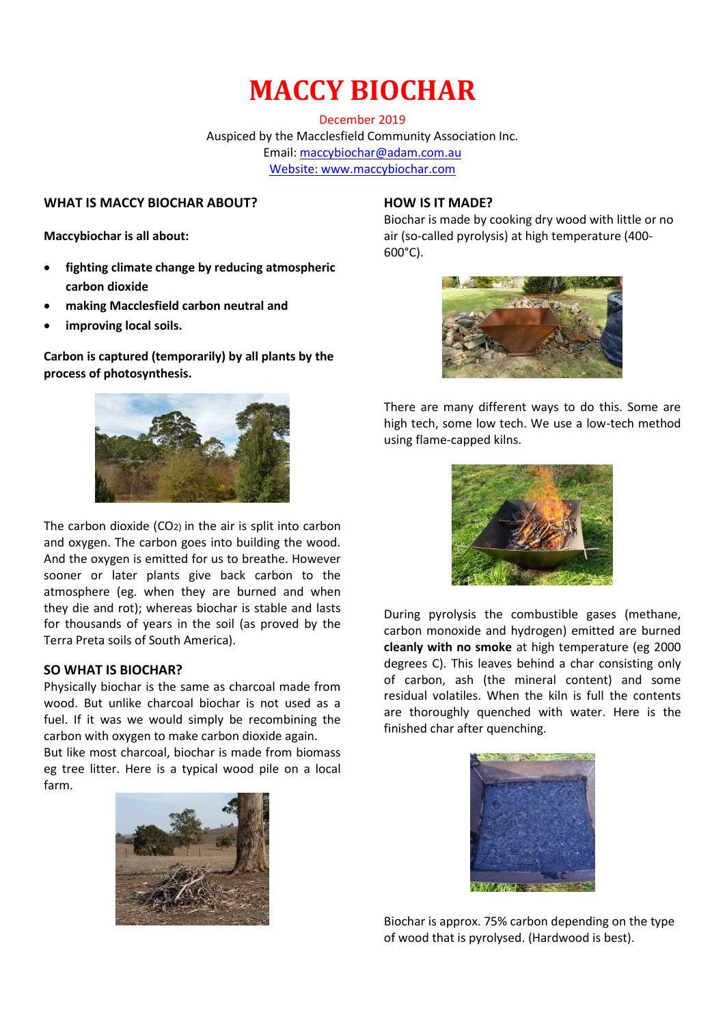December 2019 Auspiced by the Macclesfield Community Association Inc. Email: [maccybiochar@adam.com.au](mailto:maccybiochar@adam.com.au) Website: www.maccybiochar.com

### **WHAT IS MACCY BIOCHAR ABOUT?**

**Maccybiochar is all about:**

- **fighting climate change by reducing atmospheric carbon dioxide**
- **making Macclesfield carbon neutral and**
- **improving local soils.**

**Carbon is captured (temporarily) by all plants by the process of photosynthesis.** 



The carbon dioxide (CO2) in the air is split into carbon and oxygen. The carbon goes into building the wood. And the oxygen is emitted for us to breathe. However sooner or later plants give back carbon to the atmosphere (eg. when they are burned and when they die and rot); whereas biochar is stable and lasts for thousands of years in the soil (as proved by the Terra Preta soils of South America).

#### **SO WHAT IS BIOCHAR?**

Physically biochar is the same as charcoal made from wood. But unlike charcoal biochar is not used as a fuel. If it was we would simply be recombining the carbon with oxygen to make carbon dioxide again.

But like most charcoal, biochar is made from biomass eg tree litter. Here is a typical wood pile on a local farm.



### **HOW IS IT MADE?**

Biochar is made by cooking dry wood with little or no air (so-called pyrolysis) at high temperature (400- 600°C).



There are many different ways to do this. Some are high tech, some low tech. We use a low-tech method using flame-capped kilns.



During pyrolysis the combustible gases (methane, carbon monoxide and hydrogen) emitted are burned **cleanly with no smoke** at high temperature (eg 2000 degrees C). This leaves behind a char consisting only of carbon, ash (the mineral content) and some residual volatiles. When the kiln is full the contents are thoroughly quenched with water. Here is the finished char after quenching.



Biochar is approx. 75% carbon depending on the type of wood that is pyrolysed. (Hardwood is best).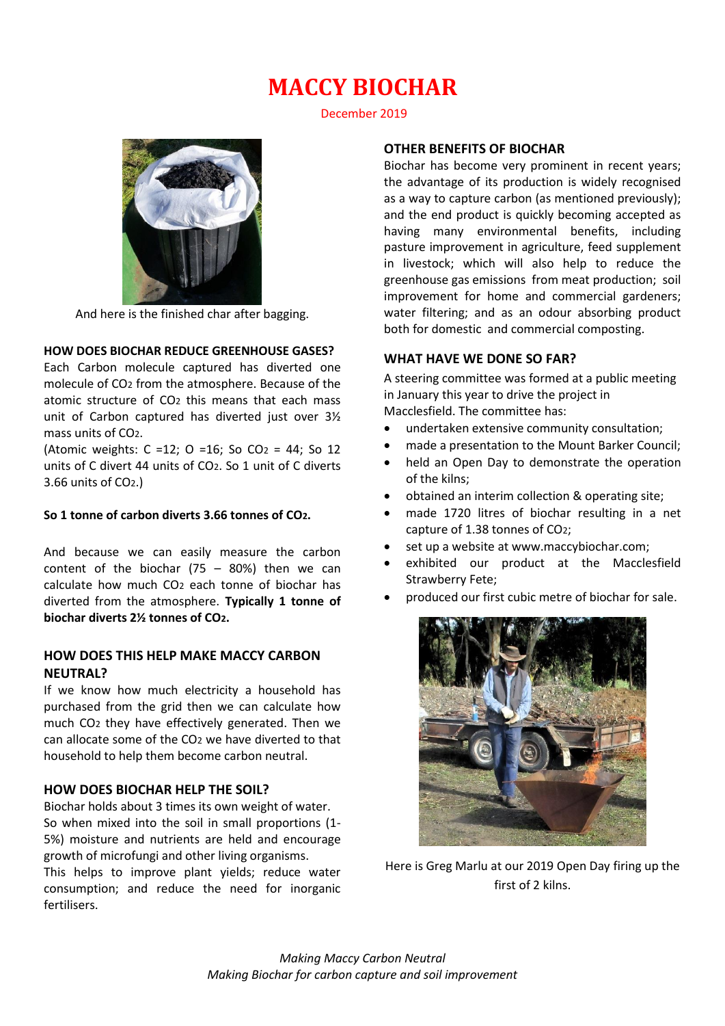December 2019



And here is the finished char after bagging.

## **HOW DOES BIOCHAR REDUCE GREENHOUSE GASES?**

Each Carbon molecule captured has diverted one molecule of CO2 from the atmosphere. Because of the atomic structure of CO2 this means that each mass unit of Carbon captured has diverted just over 3½ mass units of CO2.

(Atomic weights:  $C = 12$ ;  $O = 16$ ; So  $CO<sub>2</sub> = 44$ ; So 12 units of C divert 44 units of CO2. So 1 unit of C diverts 3.66 units of CO2.)

#### **So 1 tonne of carbon diverts 3.66 tonnes of CO2.**

And because we can easily measure the carbon content of the biochar  $(75 - 80%)$  then we can calculate how much CO2 each tonne of biochar has diverted from the atmosphere. **Typically 1 tonne of biochar diverts 2½ tonnes of CO2.**

### **HOW DOES THIS HELP MAKE MACCY CARBON NEUTRAL?**

If we know how much electricity a household has purchased from the grid then we can calculate how much CO2 they have effectively generated. Then we can allocate some of the CO2 we have diverted to that household to help them become carbon neutral.

## **HOW DOES BIOCHAR HELP THE SOIL?**

Biochar holds about 3 times its own weight of water. So when mixed into the soil in small proportions (1- 5%) moisture and nutrients are held and encourage growth of microfungi and other living organisms. This helps to improve plant yields; reduce water consumption; and reduce the need for inorganic fertilisers.

### **OTHER BENEFITS OF BIOCHAR**

Biochar has become very prominent in recent years; the advantage of its production is widely recognised as a way to capture carbon (as mentioned previously); and the end product is quickly becoming accepted as having many environmental benefits, including pasture improvement in agriculture, feed supplement in livestock; which will also help to reduce the greenhouse gas emissions from meat production; soil improvement for home and commercial gardeners; water filtering; and as an odour absorbing product both for domestic and commercial composting.

#### **WHAT HAVE WE DONE SO FAR?**

A steering committee was formed at a public meeting in January this year to drive the project in Macclesfield. The committee has:

- undertaken extensive community consultation;
- made a presentation to the Mount Barker Council;
- held an Open Day to demonstrate the operation of the kilns;
- obtained an interim collection & operating site;
- made 1720 litres of biochar resulting in a net capture of 1.38 tonnes of CO2;
- set up a website at www.maccybiochar.com;
- exhibited our product at the Macclesfield Strawberry Fete;
- produced our first cubic metre of biochar for sale.



Here is Greg Marlu at our 2019 Open Day firing up the first of 2 kilns.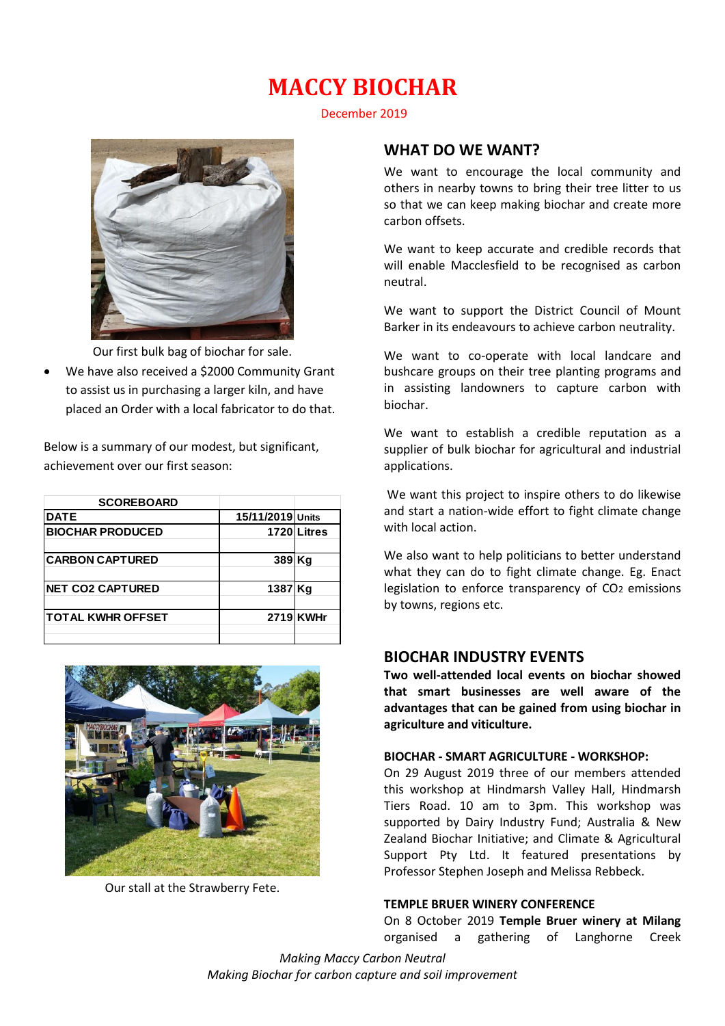December 2019



Our first bulk bag of biochar for sale.

 We have also received a \$2000 Community Grant to assist us in purchasing a larger kiln, and have placed an Order with a local fabricator to do that.

Below is a summary of our modest, but significant, achievement over our first season:

| <b>SCOREBOARD</b>        |                  |             |
|--------------------------|------------------|-------------|
| <b>DATE</b>              | 15/11/2019 Units |             |
| <b>BIOCHAR PRODUCED</b>  |                  | 1720 Litres |
| <b>CARBON CAPTURED</b>   | 389 Kg           |             |
| <b>NET CO2 CAPTURED</b>  | 1387 Kg          |             |
| <b>TOTAL KWHR OFFSET</b> |                  | 2719 KWHr   |
|                          |                  |             |



Our stall at the Strawberry Fete.

## **WHAT DO WE WANT?**

We want to encourage the local community and others in nearby towns to bring their tree litter to us so that we can keep making biochar and create more carbon offsets.

We want to keep accurate and credible records that will enable Macclesfield to be recognised as carbon neutral.

We want to support the District Council of Mount Barker in its endeavours to achieve carbon neutrality.

We want to co-operate with local landcare and bushcare groups on their tree planting programs and in assisting landowners to capture carbon with biochar.

We want to establish a credible reputation as a supplier of bulk biochar for agricultural and industrial applications.

We want this project to inspire others to do likewise and start a nation-wide effort to fight climate change with local action.

We also want to help politicians to better understand what they can do to fight climate change. Eg. Enact legislation to enforce transparency of CO<sub>2</sub> emissions by towns, regions etc.

## **BIOCHAR INDUSTRY EVENTS**

**Two well-attended local events on biochar showed that smart businesses are well aware of the advantages that can be gained from using biochar in agriculture and viticulture.**

#### **BIOCHAR - SMART AGRICULTURE - WORKSHOP:**

On 29 August 2019 three of our members attended this workshop at Hindmarsh Valley Hall, Hindmarsh Tiers Road. 10 am to 3pm. This workshop was supported by Dairy Industry Fund; Australia & New Zealand Biochar Initiative; and Climate & Agricultural Support Pty Ltd. It featured presentations by Professor Stephen Joseph and Melissa Rebbeck.

#### **TEMPLE BRUER WINERY CONFERENCE**

On 8 October 2019 **Temple Bruer winery at Milang** 

*Making Maccy Carbon Neutral Making Biochar for carbon capture and soil improvement*